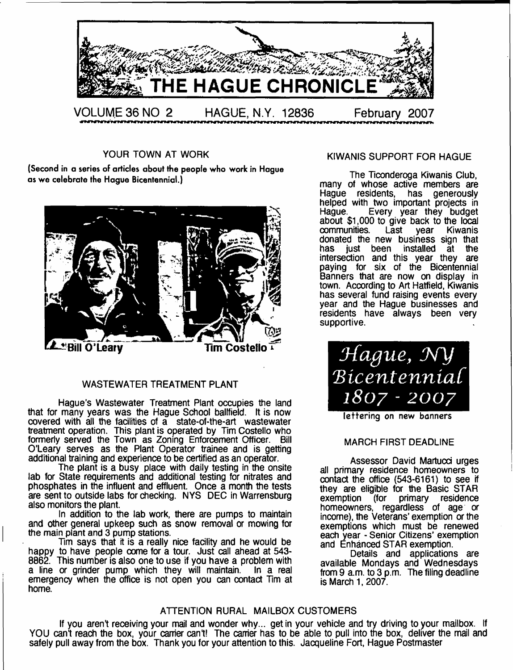

YOUR TOWN AT WORK

(Second in a series of articles about the people who work in Hague as we celebrate the Hague Bicentennial.)



# WASTEWATER TREATMENT PLANT

Hague's Wastewater Treatment Plant occupies the land that for many years was the Hague School ballfield. It is now covered with all the facilities of a state-of-the-art wastewater treatment operation. This plant is operated by Tim Costello who formerly served the Town as Zoning Enforcement Officer. Bill O'Leary serves as the Plant Operator trainee and is getting additional training and experience to be certified as an operator.

The plant is a busy place with daily testing in the onsite lab for State requirements and additional testing for nitrates and phosphates in the influent and effluent. Once a month the tests are sent to outside labs for checking. NYS DEC in Warrensburg also monitors the plant.

In addition to the lab work, there are pumps to maintain and other general upkeep such as snow removal or mowing for the main plant and 3 pump stations.

Tim says that it is a really nice facility and he would be happy to have people come for a tour. Just call ahead at 543- 8862. This number is also one to use if you have a problem with a line or grinder pump which they will maintain. In a real a line or grinder pump which they will maintain. emergency when the office is not open you can contact Tim at home.

#### KIWANIS SUPPORT FOR HAGUE

The Ticonderoga Kiwanis Club, many of whose active members are Hague residents, has generously helped with two important projects in Hague. Every year they budget about \$1,000 to give back to the local communities. Last year Kiwanis donated the new business sign that has just been installed at the intersection and this year they are paying for six of the Bicentennial Banners that are now on display in town. According to Art Hatfield, Kiwanis has several fund raising events every year and the Hague businesses and residents have always been very supportive.



lettering on new banners

#### MARCH FIRST DEADLINE

Assessor David Martucd urges all primary residence homeowners to contact the office (543-6161) to see if they are eligible for the Basic STAR<br>exemption (for primary residence (for primary residence homeowners, regardless of age or income), the Veterans' exemption or the exemptions which must be renewed each year - Senior Citizens' exemption and Enhanced STAR exemption.

Details and applications are available Mondays and Wednesdays from 9 a.m. to 3 p.m. The filing deadline is March 1, 2007.

# ATTENTION RURAL MAILBOX CUSTOMERS

If you aren't receiving your mail and wonder why... get in your vehicle and try driving to your mailbox. If YOU can't reach the box, your carrier can't! The carrier has to be able to pull into the box, deliver the mail and safely pull away from the box. Thank you for your attention to this. Jacqueline Fort, Hague Postmaster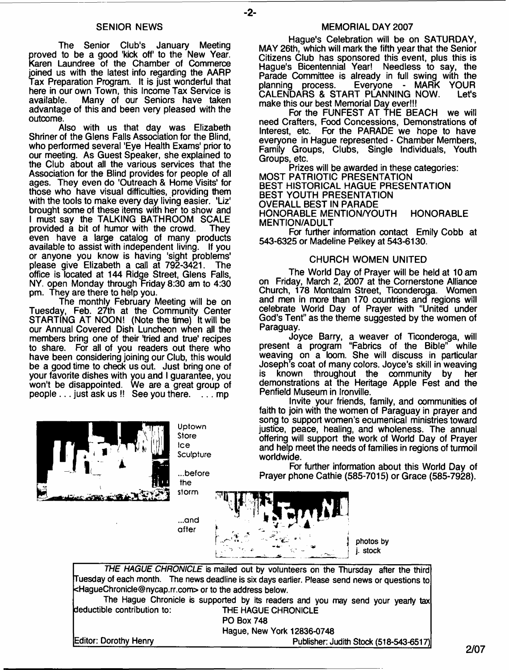#### SENIOR NEWS

The Senior Club's January Meeting proved to be a good 'kick off' to the New Year. Karen Laundree of the Chamber of Commerce joined us with the latest info regarding the AARP Tax Preparation Program. It is just wonderful that here in our own Town, this Income Tax Service is available. Many of our Seniors have taken advantage of this and been very pleased with the outcome.

Also with us that day was Elizabeth Shriner of the Glens Falls Association for the Blind, who performed several 'Eye Health Exams' prior to our meeting. As Guest Speaker, she explained to the Club about all the various services that the Association for the Blind provides for people of all ages. They even do 'Outreach & Home Visits' for those who have visual difficulties, providing them with the tools to make every day living easier. 'Liz' brought some of these items with her to show and I must say the TALKING BATHROOM SCALE<br>provided a bit of humor with the crowd. They provided a bit of humor with the crowd. even have a large catalog of many products available to assist with independent living. If you or anyone you know is having 'sight problems' please give Elizabeth a call at 792-3421. The office is located at 144 Ridge Street, Glens Falls, NY. open Monday through Friday 8:30 am to 4:30 pm. They are there to help you.

The monthly February Meeting will be on Tuesday, Feb. 27th at the Community Center STARTING AT NOON! (Note the time) It will be our Annual Covered Dish Luncheon when all the members bring one of their tried and true' recipes to share. For all of you readers out there who have been considering joining our Club, this would be a good time to check us out. Just bring one of your favorite dishes with you and I guarantee, you won't be disappointed. We are a great group of people  $\dots$  just ask us  $\mathsf{!}$ ! See you there.  $\check{\phantom{a}}$ ... mp



**Uptown Store Ice Sculpture**

**...before the**  $$ 

**...and after** *i*

#### MEMORIAL DAY 2007

Hague's Celebration will be on SATURDAY, MAY 26th, which will mark the fifth year that the Senior Citizens Club has sponsored this event, plus this is Hague's Bicentennial Year! Needless to say, the Parade Committee is already in full swing with the planning process. Everyone - MARK YOUR planning process. Everyone - MARK YOUR<br>CALENDARS & START PLANNING NOW. Let's make this our best Memorial Day ever!!!

For the FUNFEST AT THE BEACH we will need Crafters, Food Concessions, Demonstrations of<br>Interest, etc. For the PARADE we hope to have For the PARADE we hope to have everyone in Hague represented - Chamber Members, Family Groups, Clubs, Single Individuals, Youth Groups, etc.

Prizes will be awarded in these categories: MOST PATRIOTIC PRESENTATION BEST HISTORICAL HAGUE PRESENTATION BEST YOUTH PRESENTATION OVERALL BEST IN PARADE HONORABLE MENTION/YOUTH HONORABLE MENTION/ADULT

For further information contact Emily Cobb at 543-6325 or Madeline Pelkey at 543-6130.

#### CHURCH WOMEN UNITED

The World Day of Prayer will be held at 10 am on Friday, March 2, 2007 at the Cornerstone Alliance Church, 178 Montcalm Street, Ticonderoga. Women and men in more than 170 countries and regions will celebrate World Day of Prayer with "United under God's Tent" as the theme suggested by the women of Paraguay.

Joyce Barry, a weaver of Ticonderoga, will present a program "Fabrics of the Bible" while weaving on a loom. She will discuss in particular Joseph's coat of many colors. Joyce's skill in weaving<br>is known throughout the community by her known throughout the community by her demonstrations at the Heritage Apple Fest and the Penfield Museum in Ironville.

Invite your friends, family, and communities of faith to join with the women of Paraguay in prayer and song to support women's ecumenical ministries toward justice, peace, healing, and wholeness. The annual offering will support the work of World Day of Prayer and help meet the needs of families in regions of turmoil worldwide.

For further information about this World Day of Prayer phone Cathie (585-7015) or Grace (585-7928).



*THE HAGUE CHRONICLE* is mailed out by volunteers on the Thursday after the third Tuesday of each month. The news deadline is six days earlier. Please send news or questions to [<HagueChronicle@nycap.rr.com](mailto:HagueChronicle@nycap.rr.com)> or to the address below.

The Hague Chronicle is supported by its readers and you may send your yearly tax deductible contribution to: THE HAGUE CHRONICLE

PO Box 748

Hague, New York 12836-0748

Editor: Dorothy Henry entitled the state of the Publisher: Judith Stock (518-543-6517)

**2/07**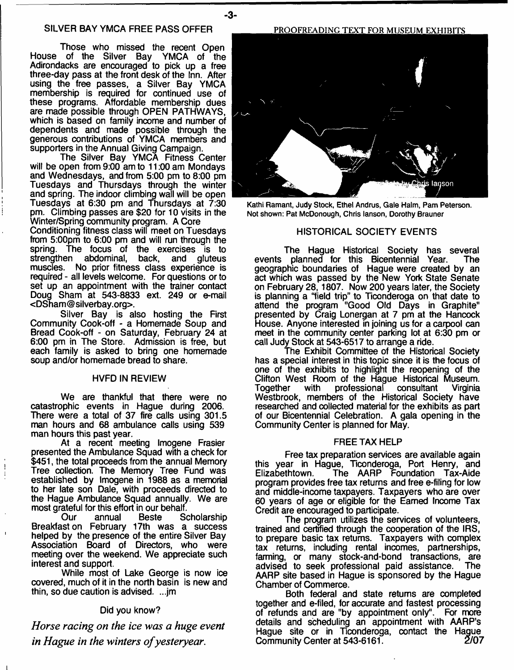Those who missed the recent Open House of the Silver Bay YMCA of the Adirondacks are encouraged to pick up a free three-day pass at the front desk of the Inn. After using the free passes, a Silver Bay YMCA membership is required for continued use of these programs. Affordable membership dues are made possible through OPEN PATHWAYS, which is based on family income and number of dependents and made possible through the generous contributions of YMCA members and supporters in the Annual Giving Campaign.

The Silver Bay YMCA Fitness Center will be open from 9:00 am to 11:00 am Mondays and Wednesdays, and from 5:00 pm to 8:00 pm Tuesdays and Thursdays through the winter and spring. The indoor climbing wall will be open Tuesdays at 6:30 pm and Thursdays at 7:30 pm. Climbing passes are \$20 for 10 visits in the Winter/Spring community program. A Core

Conditioning fitness class will meet on Tuesdays from 5:00pm to 6:00 pm and will run through the spring. The focus of the exercises is to strengthen abdominal, back, and gluteus muscles. No prior fitness class experience is required - all levels welcome. For questions or to set up an appointment with the trainer contact Doug Sham at 543-8833 ext. 249 or e-mail <[DSham@silverbay.org>](mailto:DSham@silverbay.org).

Silver Bay is also hosting the First Community Cook-off - a Homemade Soup and Bread Cook-off - on Saturday, February 24 at 6:00 pm in The Store. Admission is free, but each family is asked to bring one homemade soup and/or homemade bread to share.

#### HVFD IN REVIEW

We are thankful that there were no catastrophic events in Hague during 2006. There were a total of 37 fire calls using 301,5 man hours and 68 ambulance calls using 539 man hours this past year.

At a recent meeting Imogene Frasier presented the Ambulance Squad with a check for \$451, the total proceeds from the annual Memory Tree collection. The Memory Tree Fund was established by Imogene in 1988 as a memorial to her late son Dale, with proceeds directed to the Hague Ambulance Squad annually. We are most grateful for this effort in our behalf.<br>Our annual Beste So

**Scholarship** Breakfast on February 17th was a success helped by the presence of the entire Silver Bay Association Board of Directors, who were meeting over the weekend. We appreciate such interest and support.

While most of Lake George is now ice covered, much of it in the north basin is new and thin, so due caution is advised. ...jm

#### Did you know?

*Horse racing on the ice was a huge event in Hague in the winters of yesteryear.*

PROOFREADING TEXT FOR MUSEUM EXHIBITS



**Kathi Ramant, Judy Stock, Ethel Andrus, Gale Halm, Pam Peterson. Not shown: Pat McDonough, Chris lanson, Dorothy Brauner**

#### HISTORICAL SOCIETY EVENTS

Chris lanson

The Hague Historical Society has several events planned for this Bicentennial Year. The geographic boundaries of Hague were created by an act which was passed by the New York State Senate on February 28, 1807. Now 200 years later, the Society is planning a "field trip" to Ticonderoga on that date to attend the program "Good Old Days in Graphite" presented by Craig Lonergan at 7 pm at the Hancock House. Anyone interested in joining us for a carpool can meet in the community center parking lot at 6:30 pm or call Judy Stock at 543-6517 to arrange a ride.

The Exhibit Committee of the Historical Society has a special interest in this topic since it is the focus of one of the exhibits to highlight the reopening of the Clifton West Room of the Hague Historical Museum. Together with professional consultant Virginia Westbrook, members of the Historical Society have researched and collected material for the exhibits as part of our Bicentennial Celebration. A gala opening in the Community Center is planned for May.

#### FREE TAX HELP

Free tax preparation services are available again this year in Hague, Ticonderoga, Port Henry, and Elizabethtown. The AARP Foundation Tax-Aide program provides free tax returns and free e-filing for low and middle-income taxpayers. Taxpayers who are over 60 years of age or eligible for the Earned Income Tax Credit are encouraged to participate.

The program utilizes the services of volunteers, trained and certified through the cooperation of the IRS, to prepare basic tax returns. Taxpayers with complex tax returns, including rental incomes, partnerships, farming, or many stock-and-bond transactions, are advised to seek professional paid assistance. AARP site based in Hague is sponsored by the Hague Chamber of Commerce.

Both federal and state returns are completed together and e-filed, for accurate and fastest processing of refunds and are "by appointment only". For more details and scheduling an appointment with AARP's Hague site or in Ticonderoga, contact the Hague<br>Community Center at 543-6161. Community Center at 543-6161.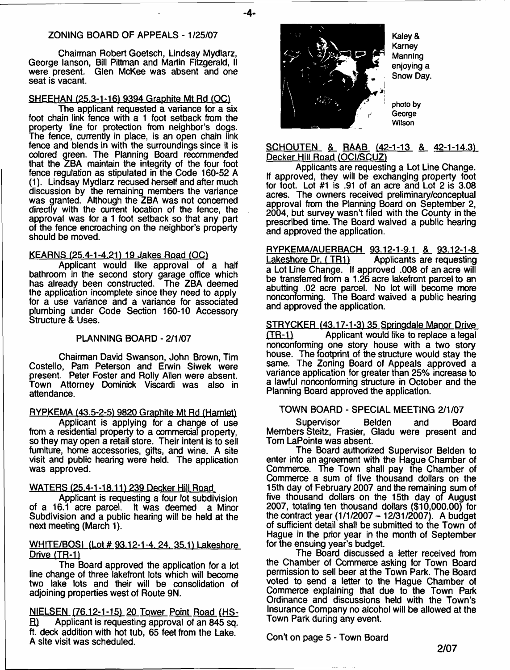### ZONING BOARD OF APPEALS - 1/25/07

Chairman Robert Goetsch, Lindsay Mydlarz, George lanson, Bill Pittman and Martin Fitzgerald, II were present. Glen McKee was absent and one seat is vacant.

### SHEEHAN (25.3-1-16) 9394 Graphite Mt Rd (OC)

The applicant requested a variance tor a six foot chain link fence with a 1 foot setback from the property line for protection from neighbor's dogs. The fence, currently in place, is an open chain link fence and blends in with the surroundings since it is colored green. The Planning Board recommended that the ZBA maintain the integrity of the four foot fence regulation as stipulated in the Code 160-52 A (1). Lindsay Mydlarz recused herself and after much discussion by the remaining members the variance was granted. Although the ZBA was not concerned directly with the current location of the fence, the approval was for a 1 foot setback so that any part of the fence encroaching on the neighbor's property should be moved.

#### KEARNS (25.4-1-4.21) 19 Jakes Road (OC)

Applicant would like approval of a half bathroom in the second story garage office which has already been constructed. The ZBA deemed the application incomplete since they need to apply for a use variance and a variance for associated plumbing under Code Section 160-10 Accessory Structure & Uses.

#### PLANNING BOARD - 2/1/07

Chairman David Swanson, John Brown, Tim Costello, Pam Peterson and Erwin Siwek were present. Peter Foster and Roily Allen were absent. Town Attorney Dominick Viscardi was also in attendance.

#### RYPKEMA (43.5-2-5) 9820 Graphite Mt Rd (Hamlet)

Applicant is applying for a change of use from a residential property to a commercial property, so they may open a retail store. Their intent is to sell furniture, home accessories, gifts, and wine. A site visit and public hearing were held. The application was approved.

#### WATERS (25.4-1-18.11) 239 Decker Hill Road

Applicant is requesting a four lot subdivision of a 16.1 acre parcel. It was deemed a Minor Subdivision and a public hearing will be held at the next meeting (March 1).

#### WHITE/BOSI (Lot # 93.12-1-4, 24, 35.1) Lakeshore Drive (TR-1)

The Board approved the application for a lot line change of three lakefront lots which will become two lake lots and their will be consolidation of adjoining properties west of Route 9N.

NIELSEN (76.12-1-151 20 Tower Point Road (HS-R) Applicant is requesting approval of an 845 sq. ft. deck addition with hot tub, 65 feet from the Lake. A site visit was scheduled.



- **4**-

**Kaley & Karney Manning enjoying a Snow Day.**

**photo by George Wilson**

#### SCHOUTEN & RAAB (42-1-13 & 42-1-14.3) Decker Hill Road (OCI/SCUZ)

Applicants are requesting a Lot Line Change. If approved, they will be exchanging property foot for foot. Lot #1 is .91 of an acre and Lot 2 is 3.08 acres. The owners received preliminary/conceptual approval from the Planning Board on September 2, 2004, but survey wasn't filed with the County in the prescribed time. The Board waived a public hearing and approved the application.

RYPKEMA/AUERBACH 93.12-1-9.1 & 93.12-1-8 Lakeshore Dr. (TR1) Applicants are requesting a Lot Line Change. If approved .008 of an acre will be transferred from a 1.26 acre lakefront parcel to an abutting .02 acre parcel. No lot will become more nonconforming. The Board waived a public hearing and approved the application.

STRYCKER (43.17-1-3) 35 Springdale Manor Drive (TR-1) Applicant would like to replace a legal nonconforming one story house with a two story house. The footprint of the structure would stay the same. The Zoning Board of Appeals approved a variance application for greater than 25% increase to a lawful nonconforming structure in October and the Planning Board approved the application.

# TOWN BOARD - SPECIAL MEETING 2/1/07

Supervisor Belden and Board Members Steitz, Frasier, Gladu were present and Tom LaPointe was absent.

The Board authorized Supervisor Belden to enter into an agreement with the Hague Chamber of Commerce. The Town shall pay the Chamber of Commerce a sum of five thousand dollars on the 15th day of February 2007 and the remaining sum of five thousand dollars on the 15th day of August 2007, totaling ten thousand dollars (\$10,000.00) for the contract year (1/1/2007 - 12/31/2007). A budget of sufficient detail shall be submitted to the Town of Hague in the prior year in the month of September for the ensuing year's budget.

The Board discussed a letter received from the Chamber of Commerce asking for Town Board permission to sell beer at the Town Park. The Board voted to send a letter to the Hague Chamber of Commerce explaining that due to the Town Park Ordinance and discussions held with the Town's Insurance Company no alcohol will be allowed at the Town Park during any event.

Con't on page 5 - Town Board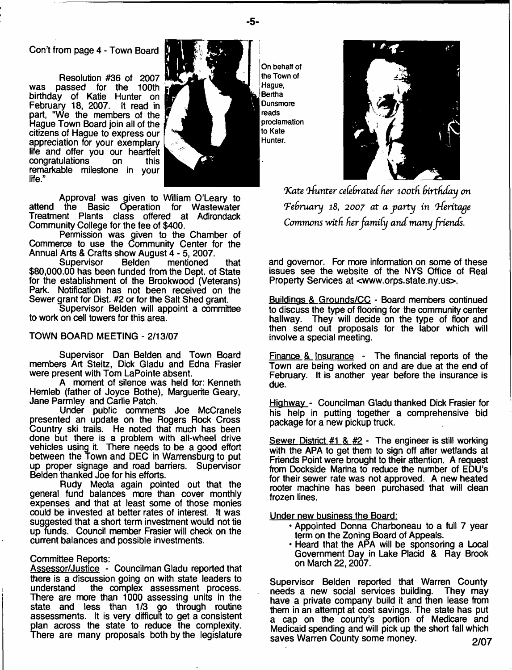Con't from page 4 - Town Board

Resolution #36 of 2007 was passed for the 100th<br>birthday of Katie Hunter on February 18, 2007. It read in part, "We the members of the Hague Town Board join all of the citizens of Haque to express our appreciation for your exemplary life and offer you our heartfelt congratulations on this remarkable milestone in your life."



Approval was given to William O'Leary to attend the Basic Operation for Wastewater Treatment Plants class offered at Adirondack Community College for the fee of \$400.

Permission was given to the Chamber of Commerce to use the Community Center for the Annual Arts & Crafts show August 4 - 5, 2007.

mentioned that \$80,000.00 has been funded from the Dept, of State for the establishment of the Brookwood (Veterans) Park. Notification has not been received on the Sewer grant for Dist. #2 or for the Salt Shed grant.

Supervisor Belden will appoint a committee to work on cell towers for this area.

#### TOWN BOARD MEETING - 2/13/07

Supervisor Dan Belden and Town Board members Art Steitz, Dick Gladu and Edna Frasier were present with Tom LaPointe absent.

A moment of silence was held for: Kenneth Hemleb (father of Joyce Bothe), Marguerite Geary, Jane Parmley and Carlie Patch.

Under public comments Joe McCranels presented an update on the Rogers Rock Cross Country ski trails. He noted that much has been done but there is a problem with all-wheel drive vehicles using it. There needs to be a good effort between the Town and DEC in Warrensburg to put up proper signage and road barriers. Supervisor Belden thanked Joe for his efforts.

Rudy Meola again pointed out that the general fund balances more than cover monthly expenses and that at least some of those monies could be invested at better rates of interest. It was suggested that a short term investment would not tie up funds. Council member Frasier will check on the current balances and possible investments.

#### Committee Reports:

Assessor/Justice - Councilman Gladu reported that there is a discussion going on with state leaders to understand the complex assessment process. the complex assessment process. There are more than 1000 assessing units in the state and less than 1/3 go through routine assessments. It is very difficult to get a consistent plan across the state to reduce the complexity. There are many proposals both by the legislature

On behalf of the Town of Haque. Bertha **Dunsmore** reads proclamation to Kate Hunter.



Kate *Hunter celebrated her 100th birthday on* February 18, 2007 at a party in Heritage *Commons with her family and many friends.* 

and governor. For more information on some of these issues see the website of the NYS Office of Real Property Services at <[www.orps.state.ny.us](http://www.orps.state.ny.us)>.

Buildings & Grounds/CC - Board members continued to discuss the type of flooring for the community center hallway. They will decide on the type of floor and then send out proposals for the labor which will involve a special meeting.

Finance & Insurance - The financial reports of the Town are being worked on and are due at the end of February. It is another year before the insurance is due.

Highway - Councilman Gladu thanked Dick Frasier for his help in putting together a comprehensive bid package for a new pickup truck.

Sewer District #1 & #2 - The engineer is still working with the APA to get them to sign off after wetlands at Friends Point were brought to their attention. A request from Dockside Marina to reduce the number of EDU's for their sewer rate was not approved. A new heated rooter machine has been purchased that will clean frozen lines.

Under new business the Board:

- Appointed Donna Charboneau to a full 7 year term on the Zoning Board of Appeals.
- Heard that the APA will be sponsoring a Local Government Day in Lake Placid & Ray Brook on March 22, 2007.

Supervisor Belden reported that Warren County needs a new social services building. They may have a private company build it and then lease from them in an attempt at cost savings. The state has put a cap on the county's portion of Medicare and Medicaid spending and will pick up the short fall which saves Warren County some money. 2/07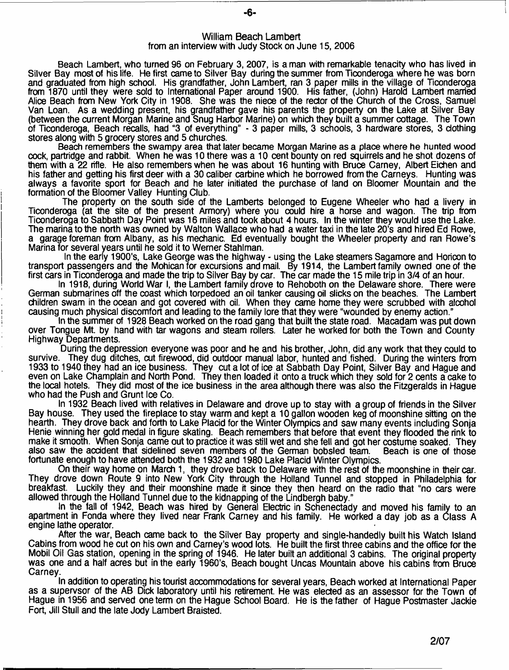#### William Beach Lambert from an interview with Judy Stock on June 15, 2006

Beach Lambert, who turned 96 on February 3, 2007, is a man with remarkable tenacity who has lived in Silver Bay most of his life. He first came to Silver Bay during the summer from Ticonderoga where he was born and graduated from high school. His grandfather, John Lambert, ran 3 paper mills in the village of Ticonderoga from 1870 until they were sold to International Paper around 1900. His father, (John) Harold Lambert married Alice Beach from New York City in 1908. She was the niece of the rector of the Church of the Cross, Samuel Van Loan. As a wedding present, his grandfather gave his parents the property on the Lake at Silver Bay (between the current Morgan Marine and Snug Harbor Marine) on which they built a summer cottage. The Town of Ticonderoga, Beach recalls, had "3 of everything" - 3 paper mills, 3 schools, 3 hardware stores, 3 clothing stores along with 5 grocery stores and 5 churches.

Beach remembers the swampy area that later became Morgan Marine as a place where he hunted wood cock, partridge and rabbit. When he was 10 there was a 10 cent bounty on red squirrels and he shot dozens of them with a 22 rifle. He also remembers when he was about 16 hunting with Bruce Carney, Albert Eichen and his father and getting his first deer with a 30 caliber carbine which he borrowed from the Carneys. Hunting was always a favorite sport for Beach and he later initiated the purchase of land on Bloomer Mountain and the formation of the Bloomer Valley Hunting Club.

The property on the south side of the Lamberts belonged to Eugene Wheeler who had a livery in Ticonderoga (at the site of the present Armory) where you could hire a horse and wagon. The trip from Ticonderoga to Sabbath Day Point was 16 miles and took about 4 hours. In the winter they would use the Lake. The marina to the north was owned by Walton Wallace who had a water taxi in the late 20's and hired Ed Rowe, a garage foreman from Albany, as his mechanic. Ed eventually bought the Wheeler property and ran Rowe's Marina for several years until he sold it to Werner Stahlman.

In the early 1900's, Lake George was the highway - using the Lake steamers Sagamore and Horicon to transport passengers and the Mohican for excursions and mail. By 1914, the Lambert family owned one of the first cars in Ticonderoga and made the trip to Silver Bay by car. The car made the 15 mile trip in 3/4 of an hour.

In 1918, during World War I, the Lambert family drove to Rehoboth on the Delaware shore. There were German submarines off the coast which torpedoed an oil tanker causing oil slicks on the beaches. The Lambert children swam in the ocean and got covered with oil. When they came home they were scrubbed with alcohol causing much physical discomfort and leading to the family lore that they were "wounded by enemy action."

In the summer of 1928 Beach worked on the road gang that built the state road. Macadam was put down over Tongue Mt. by hand with tar wagons and steam rollers. Later he worked for both the Town and County Highway Departments.

During the depression everyone was poor and he and his brother, John, did any work that they could to survive. They dug ditches, cut firewood, did outdoor manual labor, hunted and fished. During the winters from 1933 to 1940 they had an ice business. They cut a lot of ice at Sabbath Day Point, Silver Bay and Hague and even on Lake Champlain and North Pond. They then loaded it onto a truck which they sold for 2 cents a cake to the local hotels. They did most of the ice business in the area although there was also the Fitzgeralds in Hague who had the Push and Grunt Ice Co.

In 1932 Beach lived with relatives in Delaware and drove up to stay with a group of friends in the Silver Bay house. They used the fireplace to stay warm and kept a 10 gallon wooden keg of moonshine sitting on the hearth. They drove back and forth to Lake Placid for the Winter Olympics and saw many events including Sonja Henie winning her gold medal in figure skating. Beach remembers that before that event they flooded the rink to make it smooth. When Sonja came out to practice it was still wet and she fell and got her costume soaked. They<br>also saw the accident that sidelined seven members of the German bobsled team. Beach is one of those also saw the accident that sidelined seven members of the German bobsled team. fortunate enough to have attended both the 1932 and 1980 Lake Placid Winter Olympics.

On their way home on March 1, they drove back to Delaware with the rest of the moonshine in their car. They drove down Route 9 into New York City through the Holland Tunnel and stopped in Philadelphia for breakfast. Luckily they and their moonshine made it since they then heard on the radio that "no cars were allowed through the Holland Tunnel due to the kidnapping of the Lindbergh baby."

In the fall of 1942, Beach was hired by General Electric in Schenectady and moved his family to an apartment in Fonda where they lived near Frank Carney and his family. He worked a day job as a Class A engine lathe operator.

After the war, Beach came back to the Silver Bay property and single-handedly built his Watch Island Cabins from wood he cut on his own and Carney's wood lots. He built the first three cabins and the office for the Mobil Oil Gas station, opening in the spring of 1946. He later built an additional 3 cabins. The original property was one and a half acres but in the early 1960's, Beach bought Uncas Mountain above his cabins from Bruce Carney.

In addition to operating his tourist accommodations for several years, Beach worked at International Paper as a supervsor of the AB Dick laboratory until his retirement. He was elected as an assessor for the Town of Hague in 1956 and served one term on the Hague School Board. He is the father of Hague Postmaster Jackie Fort, Jill Stull and the late Jody Lambert Braisted.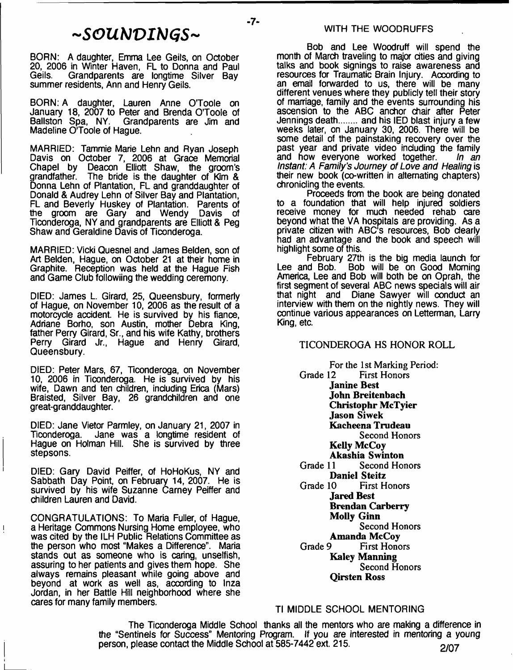# *~SGUh]VIhJGS~*

 $-7-$ 

BORN: A daughter, Emma Lee Geils, on October 20, 2006 in Winter Haven, FL to Donna and Paul Geils. Grandparents are longtime Silver Bay summer residents, Ann and Henry Geils.

BORN: A daughter, Lauren Anne O'Toole on January 18, 2007 to Peter and Brenda O'Toole of Ballston Spa, NY. Grandparents are Jim and Madeline O'Toole of Hague.

MARRIED: Tammie Marie Lehn and Ryan Joseph Davis on October 7, 2006 at Grace Memorial Chapel by Deacon Elliott Shaw, the groom's grandfather. The bride is the daughter of Kim & The bride is the daughter of Kim  $\&$ Donna Lehn of Plantation, FL and granddaughter of Donald & Audrey Lehn of Silver Bay and Plantation, FL and Beverly Huskey of Plantation. Parents of the groom are Gary and Wendy Davis of Ticonderoga, NY and grandparents are Elliott & Peg Shaw and Geraldine Davis of Ticonderoga.

MARRIED: Vicki Quesnel and James Belden, son of Art Belden, Hague, on October 21 at their home in Graphite. Reception was held at the Hague Fish and Game Club followiing the wedding ceremony.

DIED: James L. Girard, 25, Queensbury, formerly of Hague, on November 10, 2006 as the result of a motorcycle accident. He is survived by his fiance, Adriane Borho, son Austin, mother Debra King, father Perry Girard, Sr., and his wife Kathy, brothers Perry Girard Jr., Hague and Henry Girard, Queensbury.

DIED: Peter Mars, 67, Ticonderoga, on November 10, 2006 in Ticonderoga. He is survived by his wife, Dawn and ten children, including Erica (Mars) Braisted, Silver Bay, 26 grandchildren and one great-granddaughter.

DIED: Jane Vietor Parmley, on January 21, 2007 in Jane was a longtime resident of Hague on Holman Hill. She is survived by three stepsons.

DIED: Gary David Peiffer, of HoHoKus, NY and Sabbath Day Point, on February 14, 2007. He is survived by his wife Suzanne Carney Peiffer and children Lauren and David.

CONGRATULATIONS: To Maria Fuller, of Hague, a Heritage Commons Nursing Home employee, who was cited by the ILH Public Relations Committee as the person who most "Makes a Difference". Maria stands out as someone who is caring, unselfish, assuring to her patients and gives them hope. She always remains pleasant while going above and beyond at work as well as, according to Inza Jordan, in her Battle Hill neighborhood where she cares for many family members.

Ţ

Bob and Lee Woodruff will spend the month of March traveling to major cities and giving talks and book signings to raise awareness and resources for Traumatic Brain Injury. According to an email forwarded to us, there will be many different venues where they publicly tell their story of marriage, family and the events surrounding his ascension to the ABC anchor chair after Peter Jennings death........ and his IED blast injury a few weeks later, on January 30, 2006. There will be some detail of the painstaking recovery over the past year and private video including the family<br>and how everyone worked together. In an and how everyone worked together. *Instant: A Family's Journey of Love and Healing* is their new book (co-written in alternating chapters) chronicling the events.

Proceeds from the book are being donated to a foundation that will help injured soldiers receive money for much needed rehab care beyond what the VA hospitals are providing. As a private citizen with ABC's resources, Bob clearly had an advantage and the book and speech will highlight some of this.

February 27th is the big media launch for<br>Lee and Bob. Bob will be on Good Moming Bob will be on Good Morning America, Lee and Bob will both be on Oprah, the first segment of several ABC news specials will air that night and Diane Sawyer will conduct an interview with them on the nightly news. They will continue various appearances on Letterman, Larry King, etc.

# TICONDEROGA HS HONOR ROLL

For the 1st Marking Period:<br>Grade 12 First Honors First Honors **Janine Best John Breitenbach Christophr McTyier Jason Siwek Kacheena Trudeau** Second Honors **Kelly McCoy Akashia Swinton**<br>Grade 11 Second Hor Second Honors **Daniel Steitz**<br>Grade 10 First H **First Honors Jared Best Brendan Carberry Molly Ginn** Second Honors **Amanda McCoy**<br>First Hone First Honors **Kaley Manning** Second Honors **Qirsten Ross**

# Tl MIDDLE SCHOOL MENTORING

The Ticonderoga Middle School thanks all the mentors who are making a difference in the "Sentinels for Success" Mentoring Program. If you are interested in mentoring a young person, please contact the Middle School at  $\overline{585}$ -7442 ext. 215.  $\overline{2/07}$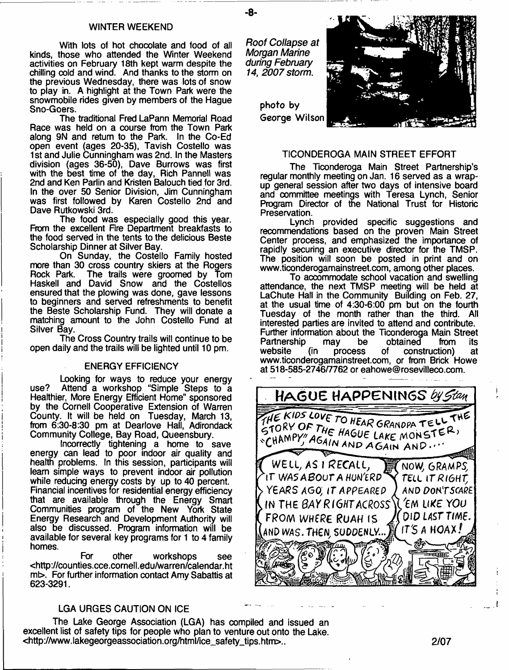#### WINTER WEEKEND

With lots of hot chocolate and food of all kinds, those who attended the Winter Weekend activities on February 18th kept warm despite the chilling cold and wind. And thanks to the storm on the previous Wednesday, there was lots of snow to play in. A highlight at the Town Park were the snowmobile rides given by members of the Hague Sno-Goers.

The traditional Fred LaPann Memorial Road Race was held on a course from the Town Park along 9N and return to the Park. In the Co-Ed open event (ages 20-35), Tavish Costello was 1st and Julie Cunningham was 2nd. In the Masters division (ages 36-50), Dave Burrows was first with the best time of the day, Rich Pannell was 2nd and Ken Parlin and Kristen Balouch tied for 3rd. In the over 50 Senior Division, Jim Cunningham was first followed by Karen Costello 2nd and Dave Rutkowski 3rd.

The food was especially good this year. From the excellent Fire Department breakfasts to the food served in the tents to the delicious Beste Scholarship Dinner at Silver Bay.

On Sunday, the Costello Family hosted more than 30 cross country skiers at the Rogers<br>Rock Park. The trails were groomed by Tom The trails were groomed by Tom Haskell and David Snow and the Costellos ensured that the plowing was done, gave lessons to beginners and served refreshments to benefit the Beste Scholarship Fund. They will donate a matching amount to the John Costello Fund at Silver Bay.

The Cross Country trails will continue to be open daily and the trails will be lighted until 10 pm.

#### ENERGY EFFICIENCY

Looking for ways to reduce your energy use? Attend a workshop "Simple Steps to a Healthier, More Energy Efficient Home" sponsored by the Cornell Cooperative Extension of Warren County. It will be held on Tuesday, March 13, from 6:30-8:30 pm at Dearlove Hall, Adirondack Community College, Bay Road, Queensbury.

Incorrectly tightening a home to save energy can lead to poor indoor air quality and health problems. In this session, participants will learn simple ways to prevent indoor air pollution while reducing energy costs by up to 40 percent. Financial incentives for residential energy efficiency that are available through the Energy Smart Communities program of the New York State Energy Research and Development Authority will also be discussed. Program information will be available for several key programs for 1 to 4 family homes.

For other workshops see <[http://counties.cce.cornell.edu/warren/calendar.ht](http://counties.cce.cornell.edu/warren/calendar.ht%e2%80%a8mt) mb. For further information contact Amy Sabattis at 623-3291.

## LGA URGES CAUTION ON ICE

The Lake George Association (LGA) has compiled and issued an excellent list of safety tips for people who plan to venture out onto the Lake. <[http://www.lakegeorgeassociation.org/html/ice\\_safety\\_tips.htm](http://www.lakegeorgeassociation.org/html/ice_safety_tips.htm)>.. 2/07

*Roof Collapse at Morgan Marine during February 14, 2007 storm***.**

- **8**-

photo by George Wilson



#### TICONDEROGA MAIN STREET EFFORT

The Ticonderoga Main Street Partnership's regular monthly meeting on Jan. 16 served as a wrapup general session after two days of intensive board and committee meetings with Teresa Lynch, Senior Program Director of the National Trust for Historic Preservation.

Lynch provided specific suggestions and recommendations based on the proven Main Street Center process, and emphasized the importance of rapidly securing an executive director for the TMSP. The position will soon be posted in print and on [www.ticonderogamainstreet.com](http://www.ticonderogamainstreet.com), among other places.

To accommodate school vacation and swelling attendance, the next TMSP meeting will be held at LaChute Hall in the Community Building on Feb. 27, at the usual time of 4:30-6:00 pm but on the fourth Tuesday of the month rather than the third. All interested parties are invited to attend and contribute. Further information about the Ticonderoga Main Street Partnership may be obtained from its<br>website (in process of construction) at (in process of construction) at [www.ticonderogamainstreet.com,](http://www.ticonderogamainstreet.com) or from Brick Howe at 518-585-2746/7762 or eahowe® rosevilleco.com.

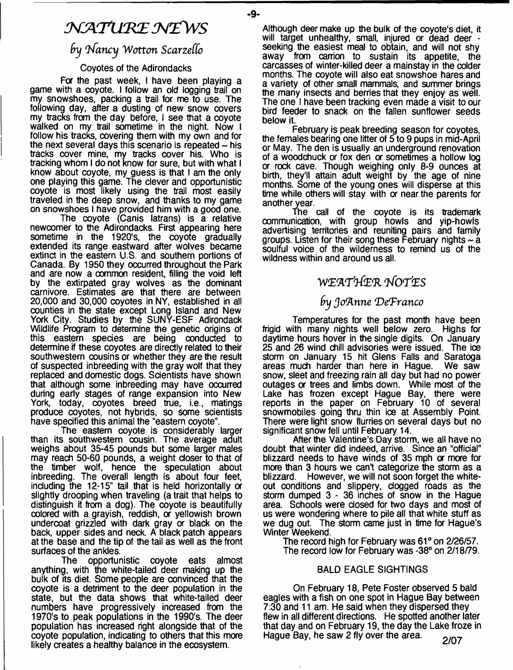# *NATURE NEWS*

 $-Q$ -

# *fry In fa n c y 'W o tta n S carzeffo*

# Coyotes of the Adirondacks

For the past week, I have been playing a game with a coyote. I follow an old logging trail on my snowshoes, packing a trail for me to use. The following day, after a dusting of new snow covers my tracks from the day before, I see that a coyote walked on my trail sometime in the night. Now I follow his tracks, covering them with my own and for the next several days this scenario is repeated  $\sim$  his tracks cover mine, my tracks cover his. Who is tracking whom I do not know for sure, but with what I know about coyote, my guess is that I am the only one playing this game. The clever and opportunistic coyote is most likely using the trail most easily traveled in the deep snow, and thanks to my game on snowshoes I have provided him with a good one.

The coyote (Canis latrans) is a relative newcomer to the Adirondacks. First appearing here sometime in the 1920's, the coyote gradually extended its range eastward after wolves became extinct in the eastern U.S. and southern portions of Canada. By 1950 they occurred throughout the Park and are now a oommon resident, filling the void left by the extirpated gray wolves as the dominant carnivore. Estimates are that there are between 20,000 and 30,000 coyotes in NY, established in all counties in the state except Long Island and New York City. Studies by the SUNY-ESF Adirondack Wildlife Program to determine the genetic origins of this eastern species are being conducted to determine if these coyotes are directly related to their southwestern cousins or whether they are the result of suspected inbreeding with the gray wolf that they replaced and domestic dogs. Scientists have shown that although some inbreeding may have occurred during early stages of range expansion into New York, today, coyotes breed true, i.e., matings produce coyotes, not hybrids, so some scientists have specified this animal the "eastern coyote".

The eastern coyote is considerably larger than its southwestern cousin. The average adult weighs about 35-45 pounds but some larger males may reach 50-60 pounds, a weight closer to that of the timber wolf, hence the speculation about inbreeding. The overall length is about four feet, including the 12-15" tail that is held horizontally a slightly drooping when traveling (a trait that helps to distinguish it from a dog). The coyote is beautifully colored with a grayish, reddish, or yellowish brown undercoat grizzled with dark gray or black on the back, upper sides and neck. A black patch appears at the base and the tip of the tail as well as the front

surfaces of the ankles.<br>The opportui opportunistic coyote eats almost anything, with the white-tailed deer making up the bulk of its diet. Some people are convinced that the coyote is a detriment to the deer population in the state, but the data shows that white-tailed deer numbers have progressively increased from the 1970's to peak populations in the 1990's. The deer population has increased right alongside that of the coyote population, indicating to others that this more likely creates a healthy balance in the ecosystem.

Although deer make up the bulk of the coyote's diet, it will target unhealthy, small, injured or dead deer seeking the easiest meal to obtain, and will not shy away from carrion to sustain its appetite, the carcasses of winter-killed deer a mainstay in the colder months. The coyote will also eat snowshoe hares and a variety of other small mammals, and summer brings the many insects and berries that they enjoy as well. The one I have been tracking even made a visit to our bird feeder to snack on the fallen sunflower seeds below it.

February is peak breeding season for coyotes, the females bearing one litter of 5 to 9 pups in mid-April or May. The den is usually an underground renovation of a woodchuck *or* fox den a sometimes a hollow log *or* rock cave. Though weighing only 8-9 ounces at birth, they'll attain adult weight by the age of nine months. Some of the young ones will disperse at this time while others will stay with or near the parents for another year.

The call of the coyote is its trademark communication, with group howls and yip-howls advertising territories and reuniting pairs and family groups. Listen for their song these February nights  $\sim$  a soulful voice of the wilderness to remind us of the wildness within and around us all.

# *WZ'A'rtfE'R* **'j/OT'ES**

# *fry Jo'Anne 'DeTranco*

Temperatures for the past month have been frigid with many nights well below zero. Highs for daytime hours hover in the single digits. On January 25 and 26 wind chill advisories were issued. The ice storm on January 15 hit Glens Falls and Saratoga areas much harder than here in Hague. We saw areas much harder than here in Hague. snow, sleet and freezing rain all day but had no power outages or trees and limbs down. While most of the Lake has frozen except Hague Bay, there were reports in the paper on February 10 of several snowmobiles going thru thin ice at Assembly Point. There were light snow flurries on several days but no significant snow fell until February 14.

After the Valentine's Day storm, we all have no doubt that winter did indeed, arrive. Since an ''official" blizzard needs to have winds of 35 mph or more for more than 3 hours we can't categorize the storm as a blizzard. However, we will not soon forget the white-However, we will not soon forget the whiteout conditions and slippery, clogged roads as the storm dumped 3 - 36 inches of snow in the Hague area. Schools were closed for two days and most of us were wondering where to pile all that white stuff as we dug out. The storm came just in time for Hague's Winter Weekend.

The record high for February was 61° on 2/26/57. The record low for February was -38° on 2/18/79.

# BALD EAGLE SIGHTINGS

On February 18, Pete Foster observed 5 bald eagles with a fish on one spot in Hague Bay between 7:30 and 11 am. He said when they dispersed they flew in all different directions. He spotted another later that day and on February 19, the day the Lake froze in Hague Bay, he saw 2 fly over the area.  $2/07$